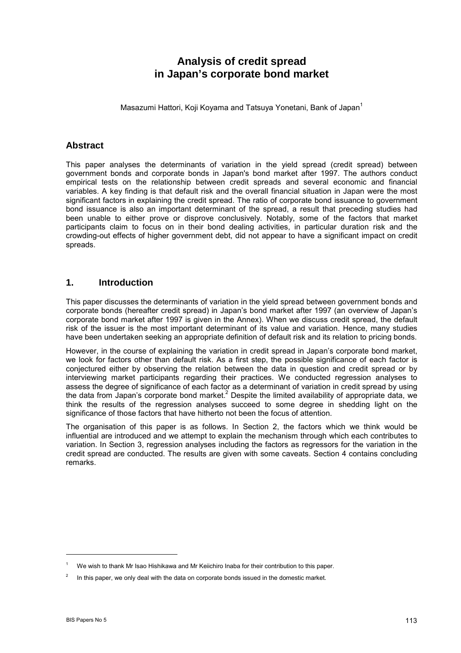# **Analysis of credit spread in Japan's corporate bond market**

Masazumi Hattori, Koji Koyama and Tatsuya Yonetani, Bank of Japan<sup>1</sup>

### **Abstract**

This paper analyses the determinants of variation in the yield spread (credit spread) between government bonds and corporate bonds in Japan's bond market after 1997. The authors conduct empirical tests on the relationship between credit spreads and several economic and financial variables. A key finding is that default risk and the overall financial situation in Japan were the most significant factors in explaining the credit spread. The ratio of corporate bond issuance to government bond issuance is also an important determinant of the spread, a result that preceding studies had been unable to either prove or disprove conclusively. Notably, some of the factors that market participants claim to focus on in their bond dealing activities, in particular duration risk and the crowding-out effects of higher government debt, did not appear to have a significant impact on credit spreads.

### **1. Introduction**

This paper discusses the determinants of variation in the yield spread between government bonds and corporate bonds (hereafter credit spread) in Japanís bond market after 1997 (an overview of Japanís corporate bond market after 1997 is given in the Annex). When we discuss credit spread, the default risk of the issuer is the most important determinant of its value and variation. Hence, many studies have been undertaken seeking an appropriate definition of default risk and its relation to pricing bonds.

However, in the course of explaining the variation in credit spread in Japan's corporate bond market, we look for factors other than default risk. As a first step, the possible significance of each factor is conjectured either by observing the relation between the data in question and credit spread or by interviewing market participants regarding their practices. We conducted regression analyses to assess the degree of significance of each factor as a determinant of variation in credit spread by using the data from Japan's corporate bond market.<sup>2</sup> Despite the limited availability of appropriate data, we think the results of the regression analyses succeed to some degree in shedding light on the significance of those factors that have hitherto not been the focus of attention.

The organisation of this paper is as follows. In Section 2, the factors which we think would be influential are introduced and we attempt to explain the mechanism through which each contributes to variation. In Section 3, regression analyses including the factors as regressors for the variation in the credit spread are conducted. The results are given with some caveats. Section 4 contains concluding remarks.

We wish to thank Mr Isao Hishikawa and Mr Keiichiro Inaba for their contribution to this paper.

 $2^2$  In this paper, we only deal with the data on corporate bonds issued in the domestic market.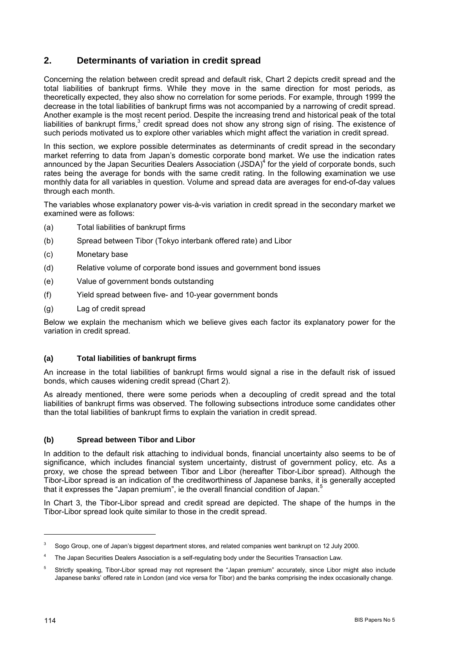# **2. Determinants of variation in credit spread**

Concerning the relation between credit spread and default risk, Chart 2 depicts credit spread and the total liabilities of bankrupt firms. While they move in the same direction for most periods, as theoretically expected, they also show no correlation for some periods. For example, through 1999 the decrease in the total liabilities of bankrupt firms was not accompanied by a narrowing of credit spread. Another example is the most recent period. Despite the increasing trend and historical peak of the total liabilities of bankrupt firms, $3$  credit spread does not show any strong sign of rising. The existence of such periods motivated us to explore other variables which might affect the variation in credit spread.

In this section, we explore possible determinates as determinants of credit spread in the secondary market referring to data from Japanís domestic corporate bond market. We use the indication rates announced by the Japan Securities Dealers Association (JSDA)<sup>4</sup> for the yield of corporate bonds, such rates being the average for bonds with the same credit rating. In the following examination we use monthly data for all variables in question. Volume and spread data are averages for end-of-day values through each month.

The variables whose explanatory power vis-à-vis variation in credit spread in the secondary market we examined were as follows:

- (a) Total liabilities of bankrupt firms
- (b) Spread between Tibor (Tokyo interbank offered rate) and Libor
- (c) Monetary base
- (d) Relative volume of corporate bond issues and government bond issues
- (e) Value of government bonds outstanding
- (f) Yield spread between five- and 10-year government bonds
- (g) Lag of credit spread

Below we explain the mechanism which we believe gives each factor its explanatory power for the variation in credit spread.

### **(a) Total liabilities of bankrupt firms**

An increase in the total liabilities of bankrupt firms would signal a rise in the default risk of issued bonds, which causes widening credit spread (Chart 2).

As already mentioned, there were some periods when a decoupling of credit spread and the total liabilities of bankrupt firms was observed. The following subsections introduce some candidates other than the total liabilities of bankrupt firms to explain the variation in credit spread.

### **(b) Spread between Tibor and Libor**

In addition to the default risk attaching to individual bonds, financial uncertainty also seems to be of significance, which includes financial system uncertainty, distrust of government policy, etc. As a proxy, we chose the spread between Tibor and Libor (hereafter Tibor-Libor spread). Although the Tibor-Libor spread is an indication of the creditworthiness of Japanese banks, it is generally accepted that it expresses the "Japan premium", ie the overall financial condition of Japan.<sup>5</sup>

In Chart 3, the Tibor-Libor spread and credit spread are depicted. The shape of the humps in the Tibor-Libor spread look quite similar to those in the credit spread.

<sup>3</sup> Sogo Group, one of Japanís biggest department stores, and related companies went bankrupt on 12 July 2000.

<sup>4</sup> The Japan Securities Dealers Association is a self-regulating body under the Securities Transaction Law.

Strictly speaking, Tibor-Libor spread may not represent the "Japan premium" accurately, since Libor might also include Japanese banks' offered rate in London (and vice versa for Tibor) and the banks comprising the index occasionally change.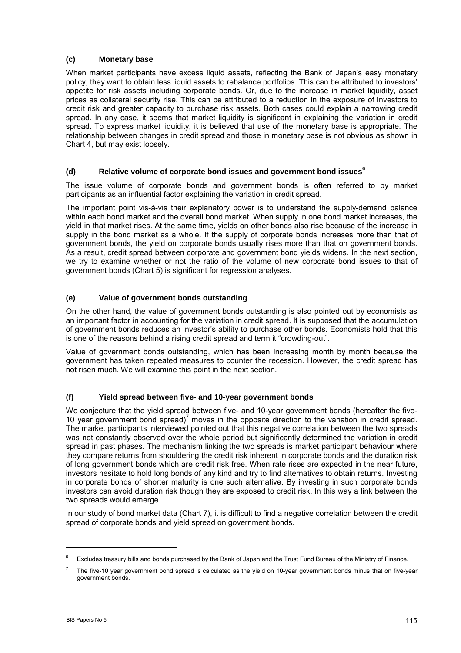### **(c) Monetary base**

When market participants have excess liquid assets, reflecting the Bank of Japan's easy monetary policy, they want to obtain less liquid assets to rebalance portfolios. This can be attributed to investors' appetite for risk assets including corporate bonds. Or, due to the increase in market liquidity, asset prices as collateral security rise. This can be attributed to a reduction in the exposure of investors to credit risk and greater capacity to purchase risk assets. Both cases could explain a narrowing credit spread. In any case, it seems that market liquidity is significant in explaining the variation in credit spread. To express market liquidity, it is believed that use of the monetary base is appropriate. The relationship between changes in credit spread and those in monetary base is not obvious as shown in Chart 4, but may exist loosely.

### **(d) Relative volume of corporate bond issues and government bond issues<sup>6</sup>**

The issue volume of corporate bonds and government bonds is often referred to by market participants as an influential factor explaining the variation in credit spread.

The important point vis-à-vis their explanatory power is to understand the supply-demand balance within each bond market and the overall bond market. When supply in one bond market increases, the yield in that market rises. At the same time, yields on other bonds also rise because of the increase in supply in the bond market as a whole. If the supply of corporate bonds increases more than that of government bonds, the yield on corporate bonds usually rises more than that on government bonds. As a result, credit spread between corporate and government bond yields widens. In the next section, we try to examine whether or not the ratio of the volume of new corporate bond issues to that of government bonds (Chart 5) is significant for regression analyses.

### **(e) Value of government bonds outstanding**

On the other hand, the value of government bonds outstanding is also pointed out by economists as an important factor in accounting for the variation in credit spread. It is supposed that the accumulation of government bonds reduces an investor's ability to purchase other bonds. Economists hold that this is one of the reasons behind a rising credit spread and term it "crowding-out".

Value of government bonds outstanding, which has been increasing month by month because the government has taken repeated measures to counter the recession. However, the credit spread has not risen much. We will examine this point in the next section.

### **(f) Yield spread between five- and 10-year government bonds**

We conjecture that the yield spread between five- and 10-year government bonds (hereafter the five-10 year government bond spread)<sup>7</sup> moves in the opposite direction to the variation in credit spread. The market participants interviewed pointed out that this negative correlation between the two spreads was not constantly observed over the whole period but significantly determined the variation in credit spread in past phases. The mechanism linking the two spreads is market participant behaviour where they compare returns from shouldering the credit risk inherent in corporate bonds and the duration risk of long government bonds which are credit risk free. When rate rises are expected in the near future, investors hesitate to hold long bonds of any kind and try to find alternatives to obtain returns. Investing in corporate bonds of shorter maturity is one such alternative. By investing in such corporate bonds investors can avoid duration risk though they are exposed to credit risk. In this way a link between the two spreads would emerge.

In our study of bond market data (Chart 7), it is difficult to find a negative correlation between the credit spread of corporate bonds and yield spread on government bonds.

Excludes treasury bills and bonds purchased by the Bank of Japan and the Trust Fund Bureau of the Ministry of Finance.

<sup>7</sup> The five-10 year government bond spread is calculated as the yield on 10-year government bonds minus that on five-year government bonds.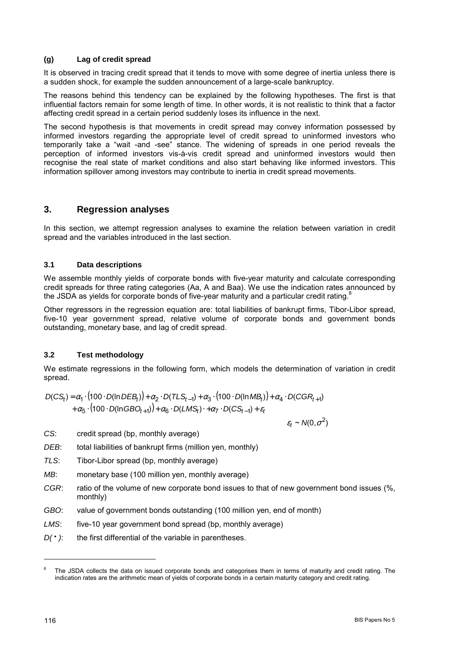#### **(g) Lag of credit spread**

It is observed in tracing credit spread that it tends to move with some degree of inertia unless there is a sudden shock, for example the sudden announcement of a large-scale bankruptcy.

The reasons behind this tendency can be explained by the following hypotheses. The first is that influential factors remain for some length of time. In other words, it is not realistic to think that a factor affecting credit spread in a certain period suddenly loses its influence in the next.

The second hypothesis is that movements in credit spread may convey information possessed by informed investors regarding the appropriate level of credit spread to uninformed investors who temporarily take a "wait -and -see" stance. The widening of spreads in one period reveals the perception of informed investors vis-à-vis credit spread and uninformed investors would then recognise the real state of market conditions and also start behaving like informed investors. This information spillover among investors may contribute to inertia in credit spread movements.

### **3. Regression analyses**

In this section, we attempt regression analyses to examine the relation between variation in credit spread and the variables introduced in the last section.

### **3.1 Data descriptions**

We assemble monthly yields of corporate bonds with five-year maturity and calculate corresponding credit spreads for three rating categories (Aa, A and Baa). We use the indication rates announced by the JSDA as yields for corporate bonds of five-year maturity and a particular credit rating.<sup>8</sup>

Other regressors in the regression equation are: total liabilities of bankrupt firms, Tibor-Libor spread, five-10 year government spread, relative volume of corporate bonds and government bonds outstanding, monetary base, and lag of credit spread.

### **3.2 Test methodology**

We estimate regressions in the following form, which models the determination of variation in credit spread.

 $D(CS_t) = \alpha_1 \cdot (100 \cdot D(\ln DEB_t)) + \alpha_2 \cdot D(TLS_{t-1}) + \alpha_3 \cdot (100 \cdot D(\ln MB_t)) + \alpha_4 \cdot D(CGR_{t+1})$  $t + \alpha_5 \cdot (100 \cdot D(\ln GBO_{t+1})) + \alpha_6 \cdot D(LMS_t) \cdot + \alpha_7 \cdot D(CS_{t-1}) + \varepsilon_t$ 

$$
\varepsilon_t \sim N(0, \sigma^2)
$$

*CS*: credit spread (bp, monthly average)

- *DEB*: total liabilities of bankrupt firms (million yen, monthly)
- *TLS*: Tibor-Libor spread (bp, monthly average)
- *MB*: monetary base (100 million yen, monthly average)
- *CGR*: ratio of the volume of new corporate bond issues to that of new government bond issues (%, monthly)
- *GBO*: value of government bonds outstanding (100 million yen, end of month)
- *LMS*: five-10 year government bond spread (bp, monthly average)
- *D(* $\cdot$ ): the first differential of the variable in parentheses.

The JSDA collects the data on issued corporate bonds and categorises them in terms of maturity and credit rating. The indication rates are the arithmetic mean of yields of corporate bonds in a certain maturity category and credit rating.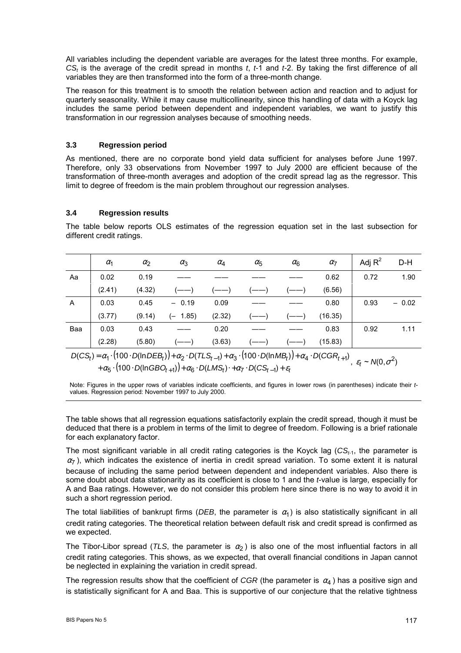All variables including the dependent variable are averages for the latest three months. For example, *CSt* is the average of the credit spread in months *t*, *t-*1 and *t-*2. By taking the first difference of all variables they are then transformed into the form of a three-month change.

The reason for this treatment is to smooth the relation between action and reaction and to adjust for quarterly seasonality. While it may cause multicollinearity, since this handling of data with a Koyck lag includes the same period between dependent and independent variables, we want to justify this transformation in our regression analyses because of smoothing needs.

### **3.3 Regression period**

As mentioned, there are no corporate bond yield data sufficient for analyses before June 1997. Therefore, only 33 observations from November 1997 to July 2000 are efficient because of the transformation of three-month averages and adoption of the credit spread lag as the regressor. This limit to degree of freedom is the main problem throughout our regression analyses.

### **3.4 Regression results**

The table below reports OLS estimates of the regression equation set in the last subsection for different credit ratings.

|     | $\alpha_1$ | $\alpha_2$ | $\alpha_3$ | $\alpha_4$ | $\alpha_{5}$ | $\alpha_6$ | $\alpha$ <sub>7</sub> | Adj $R^2$ | D-H     |
|-----|------------|------------|------------|------------|--------------|------------|-----------------------|-----------|---------|
| Aa  | 0.02       | 0.19       |            |            |              |            | 0.62                  | 0.72      | 1.90    |
|     | (2.41)     | (4.32)     |            |            |              |            | (6.56)                |           |         |
| A   | 0.03       | 0.45       | $-0.19$    | 0.09       |              |            | 0.80                  | 0.93      | $-0.02$ |
|     | (3.77)     | (9.14)     | $(- 1.85)$ | (2.32)     |              |            | (16.35)               |           |         |
| Baa | 0.03       | 0.43       |            | 0.20       |              |            | 0.83                  | 0.92      | 1.11    |
|     | (2.28)     | (5.80)     |            | (3.63)     |              |            | (15.83)               |           |         |

 $D(CS_t) = \alpha_1 \cdot (100 \cdot D(\ln DEB_t)) + \alpha_2 \cdot D(TLS_{t-1}) + \alpha_3 \cdot (100 \cdot D(\ln MB_t)) + \alpha_4 \cdot D(CGR_{t+1}), \varepsilon_t \sim N(0, \sigma^2)$  $t + \alpha_5 \cdot (100 \cdot D(\text{InGBO}_{t+1})) + \alpha_6 \cdot D(LMS_t) \cdot + \alpha_7 \cdot D(CS_{t-1}) + \varepsilon_t$ 

Note: Figures in the upper rows of variables indicate coefficients, and figures in lower rows (in parentheses) indicate their *t*values. Regression period: November 1997 to July 2000.

The table shows that all regression equations satisfactorily explain the credit spread, though it must be deduced that there is a problem in terms of the limit to degree of freedom. Following is a brief rationale for each explanatory factor.

The most significant variable in all credit rating categories is the Koyck lag (*CSt-*1, the parameter is  $\alpha$ <sub>7</sub>), which indicates the existence of inertia in credit spread variation. To some extent it is natural because of including the same period between dependent and independent variables. Also there is some doubt about data stationarity as its coefficient is close to 1 and the *t*-value is large, especially for A and Baa ratings. However, we do not consider this problem here since there is no way to avoid it in such a short regression period.

The total liabilities of bankrupt firms (*DEB*, the parameter is  $\alpha_1$ ) is also statistically significant in all credit rating categories. The theoretical relation between default risk and credit spread is confirmed as we expected.

The Tibor-Libor spread (*TLS*, the parameter is  $\alpha_2$ ) is also one of the most influential factors in all credit rating categories. This shows, as we expected, that overall financial conditions in Japan cannot be neglected in explaining the variation in credit spread.

The regression results show that the coefficient of *CGR* (the parameter is  $\alpha_4$ ) has a positive sign and is statistically significant for A and Baa. This is supportive of our conjecture that the relative tightness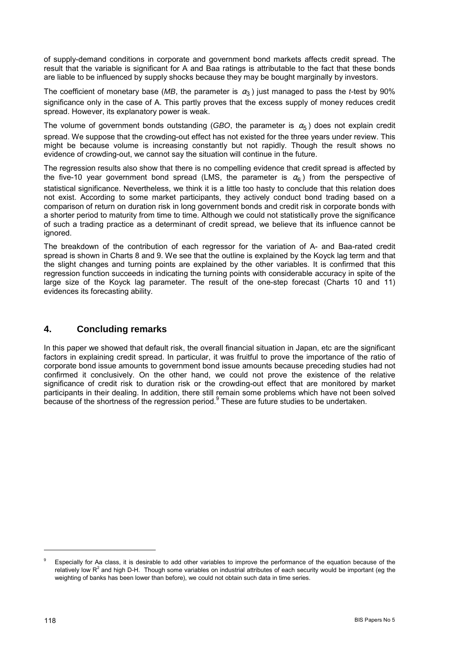of supply-demand conditions in corporate and government bond markets affects credit spread. The result that the variable is significant for A and Baa ratings is attributable to the fact that these bonds are liable to be influenced by supply shocks because they may be bought marginally by investors.

The coefficient of monetary base (*MB*, the parameter is  $\alpha_3$ ) just managed to pass the *t*-test by 90% significance only in the case of A. This partly proves that the excess supply of money reduces credit spread. However, its explanatory power is weak.

The volume of government bonds outstanding (*GBO*, the parameter is  $\alpha_5$ ) does not explain credit spread. We suppose that the crowding-out effect has not existed for the three years under review. This might be because volume is increasing constantly but not rapidly. Though the result shows no evidence of crowding-out, we cannot say the situation will continue in the future.

The regression results also show that there is no compelling evidence that credit spread is affected by the five-10 year government bond spread (LMS, the parameter is  $\alpha_6$ ) from the perspective of statistical significance. Nevertheless, we think it is a little too hasty to conclude that this relation does not exist. According to some market participants, they actively conduct bond trading based on a comparison of return on duration risk in long government bonds and credit risk in corporate bonds with a shorter period to maturity from time to time. Although we could not statistically prove the significance of such a trading practice as a determinant of credit spread, we believe that its influence cannot be ignored.

The breakdown of the contribution of each regressor for the variation of A- and Baa-rated credit spread is shown in Charts 8 and 9. We see that the outline is explained by the Koyck lag term and that the slight changes and turning points are explained by the other variables. It is confirmed that this regression function succeeds in indicating the turning points with considerable accuracy in spite of the large size of the Koyck lag parameter. The result of the one-step forecast (Charts 10 and 11) evidences its forecasting ability.

## **4. Concluding remarks**

In this paper we showed that default risk, the overall financial situation in Japan, etc are the significant factors in explaining credit spread. In particular, it was fruitful to prove the importance of the ratio of corporate bond issue amounts to government bond issue amounts because preceding studies had not confirmed it conclusively. On the other hand, we could not prove the existence of the relative significance of credit risk to duration risk or the crowding-out effect that are monitored by market participants in their dealing. In addition, there still remain some problems which have not been solved because of the shortness of the regression period.<sup>9</sup> These are future studies to be undertaken.

Especially for Aa class, it is desirable to add other variables to improve the performance of the equation because of the relatively low R<sup>2</sup> and high D-H. Though some variables on industrial attributes of each security would be important (eg the weighting of banks has been lower than before), we could not obtain such data in time series.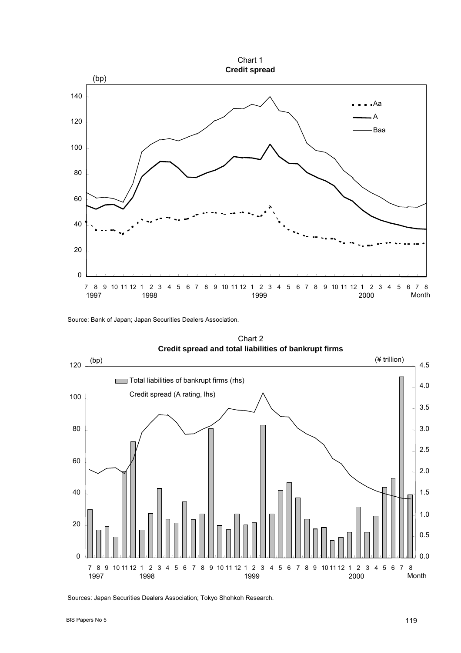

Source: Bank of Japan; Japan Securities Dealers Association.



Chart 2 **Credit spread and total liabilities of bankrupt firms**

Sources: Japan Securities Dealers Association; Tokyo Shohkoh Research.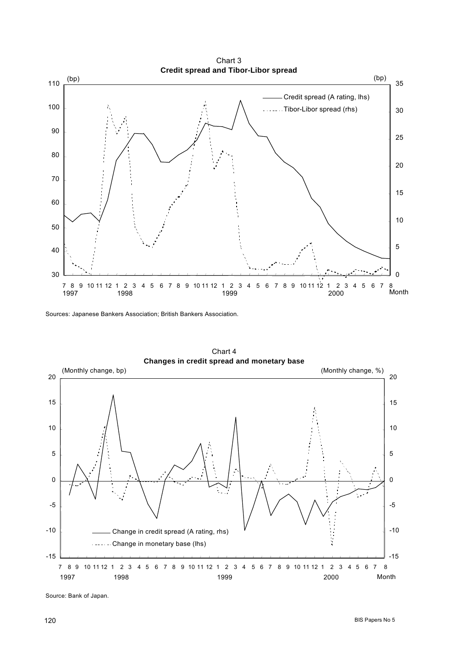

Sources: Japanese Bankers Association; British Bankers Association.



Chart 4

Source: Bank of Japan.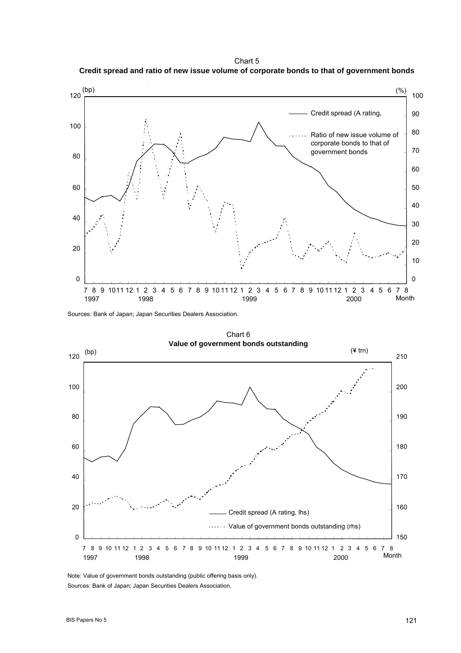Chart 5 **Credit spread and ratio of new issue volume of corporate bonds to that of government bonds**



Sources: Bank of Japan; Japan Securities Dealers Association.



Note: Value of government bonds outstanding (public offering basis only). Sources: Bank of Japan; Japan Securities Dealers Association.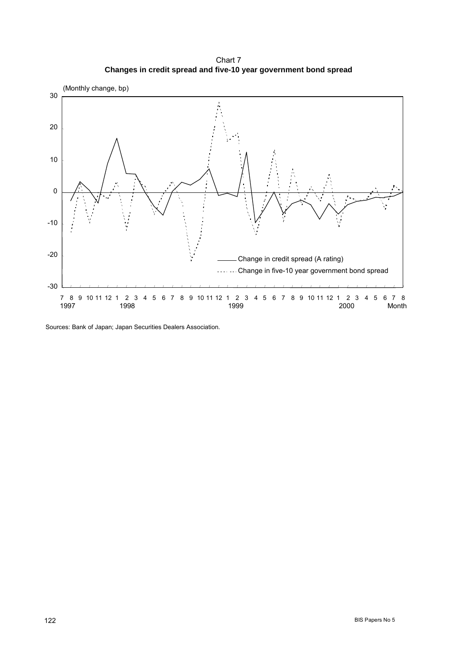Chart 7 **Changes in credit spread and five-10 year government bond spread**



Sources: Bank of Japan; Japan Securities Dealers Association.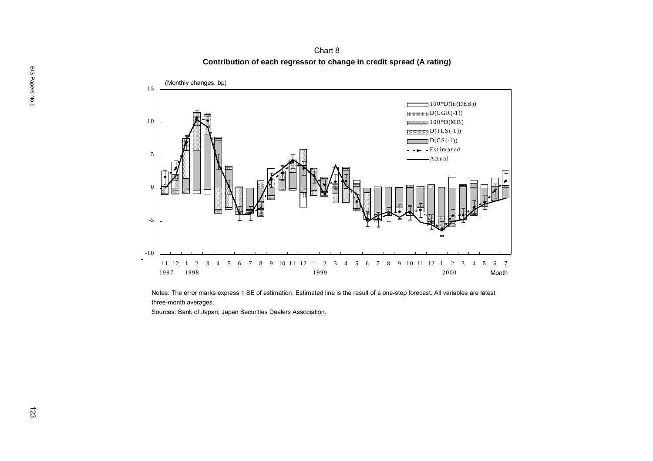**Contribution of each regressor to change in credit spread (A rating)** Chart 8



Notes: The error marks express 1 SE of estimation. Estimated line is the result of a one-step forecast. All variables are latest three-month averages.<br>Sources: Bank of Japan; Japan Securities Dealers Association.<br>Notes: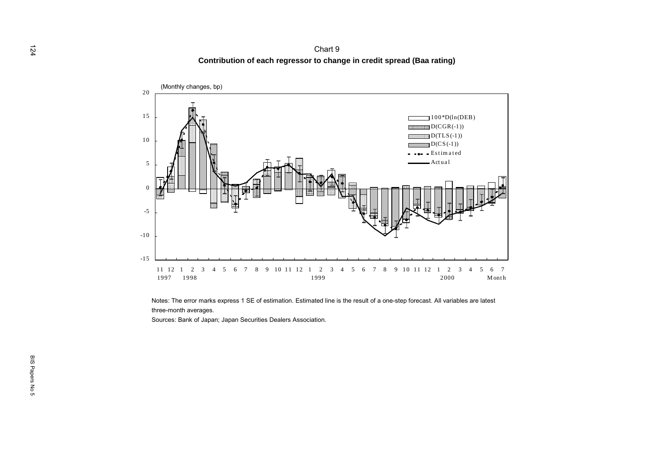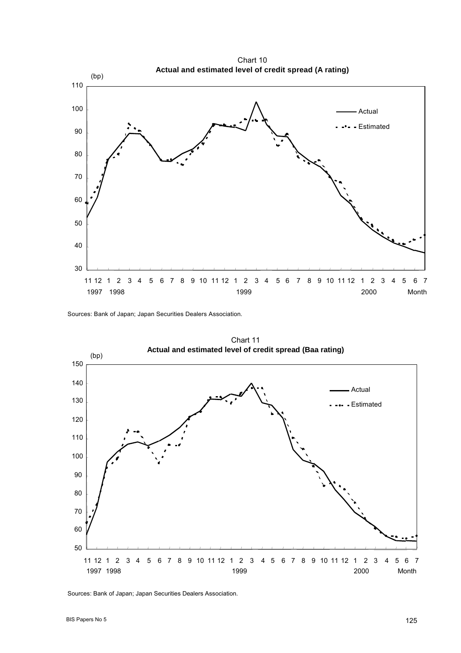30 40 50 60 70 80 90 100 110 11 12 1 2 3 4 5 6 7 8 9 10 11 12 1 2 3 4 5 6 7 8 9 10 11 12 1 2 3 4 5 6 7 Actual Estimated 1997 1998 1999 2000 (bp) **Actual and estimated level of credit spread (A rating)** Month

Chart 10

Sources: Bank of Japan; Japan Securities Dealers Association.



Sources: Bank of Japan; Japan Securities Dealers Association.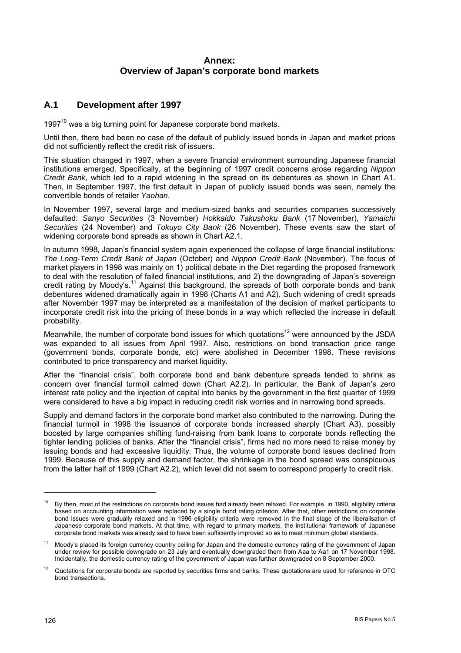## **Annex: Overview of Japan's corporate bond markets**

### **A.1 Development after 1997**

 $1997<sup>10</sup>$  was a big turning point for Japanese corporate bond markets.

Until then, there had been no case of the default of publicly issued bonds in Japan and market prices did not sufficiently reflect the credit risk of issuers.

This situation changed in 1997, when a severe financial environment surrounding Japanese financial institutions emerged. Specifically, at the beginning of 1997 credit concerns arose regarding *Nippon Credit Bank*, which led to a rapid widening in the spread on its debentures as shown in Chart A1. Then, in September 1997, the first default in Japan of publicly issued bonds was seen, namely the convertible bonds of retailer *Yaohan*.

In November 1997, several large and medium-sized banks and securities companies successively defaulted: *Sanyo Securities* (3 November) *Hokkaido Takushoku Bank* (17 November), *Yamaichi Securities* (24 November) and *Tokuyo City Bank* (26 November). These events saw the start of widening corporate bond spreads as shown in Chart A2.1.

In autumn 1998, Japan's financial system again experienced the collapse of large financial institutions: *The Long-Term Credit Bank of Japan* (October) and *Nippon Credit Bank* (November). The focus of market players in 1998 was mainly on 1) political debate in the Diet regarding the proposed framework to deal with the resolution of failed financial institutions, and 2) the downgrading of Japanís sovereign credit rating by Moody's.<sup>11</sup> Against this background, the spreads of both corporate bonds and bank debentures widened dramatically again in 1998 (Charts A1 and A2). Such widening of credit spreads after November 1997 may be interpreted as a manifestation of the decision of market participants to incorporate credit risk into the pricing of these bonds in a way which reflected the increase in default probability.

Meanwhile, the number of corporate bond issues for which quotations<sup>12</sup> were announced by the JSDA was expanded to all issues from April 1997. Also, restrictions on bond transaction price range (government bonds, corporate bonds, etc) were abolished in December 1998. These revisions contributed to price transparency and market liquidity.

After the "financial crisis", both corporate bond and bank debenture spreads tended to shrink as concern over financial turmoil calmed down (Chart A2.2). In particular, the Bank of Japan's zero interest rate policy and the injection of capital into banks by the government in the first quarter of 1999 were considered to have a big impact in reducing credit risk worries and in narrowing bond spreads.

Supply and demand factors in the corporate bond market also contributed to the narrowing. During the financial turmoil in 1998 the issuance of corporate bonds increased sharply (Chart A3), possibly boosted by large companies shifting fund-raising from bank loans to corporate bonds reflecting the tighter lending policies of banks. After the "financial crisis", firms had no more need to raise money by issuing bonds and had excessive liquidity. Thus, the volume of corporate bond issues declined from 1999. Because of this supply and demand factor, the shrinkage in the bond spread was conspicuous from the latter half of 1999 (Chart A2.2), which level did not seem to correspond properly to credit risk.

<sup>&</sup>lt;sup>10</sup> By then, most of the restrictions on corporate bond issues had already been relaxed. For example, in 1990, eligibility criteria based on accounting information were replaced by a single bond rating criterion. After that, other restrictions on corporate bond issues were gradually relaxed and in 1996 eligibility criteria were removed in the final stage of the liberalisation of Japanese corporate bond markets. At that time, with regard to primary markets, the institutional framework of Japanese corporate bond markets was already said to have been sufficiently improved so as to meet minimum global standards.

Moody's placed its foreign currency country ceiling for Japan and the domestic currency rating of the government of Japan under review for possible downgrade on 23 July and eventually downgraded them from Aaa to Aa1 on 17 November 1998. Incidentally, the domestic currency rating of the government of Japan was further downgraded on 8 September 2000.

<sup>&</sup>lt;sup>12</sup> Quotations for corporate bonds are reported by securities firms and banks. These quotations are used for reference in OTC bond transactions.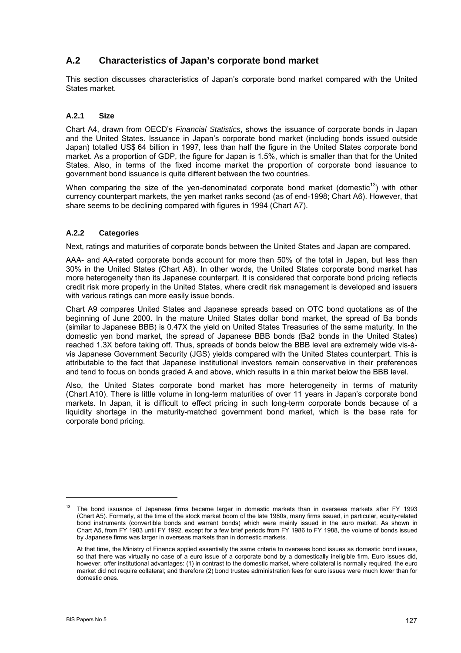# **A.2 Characteristics of Japan's corporate bond market**

This section discusses characteristics of Japan's corporate bond market compared with the United States market.

### **A.2.1 Size**

Chart A4, drawn from OECDís *Financial Statistics*, shows the issuance of corporate bonds in Japan and the United States. Issuance in Japanís corporate bond market (including bonds issued outside Japan) totalled US\$ 64 billion in 1997, less than half the figure in the United States corporate bond market. As a proportion of GDP, the figure for Japan is 1.5%, which is smaller than that for the United States. Also, in terms of the fixed income market the proportion of corporate bond issuance to government bond issuance is quite different between the two countries.

When comparing the size of the ven-denominated corporate bond market (domestic<sup>13</sup>) with other currency counterpart markets, the yen market ranks second (as of end-1998; Chart A6). However, that share seems to be declining compared with figures in 1994 (Chart A7).

#### **A.2.2 Categories**

Next, ratings and maturities of corporate bonds between the United States and Japan are compared.

AAA- and AA-rated corporate bonds account for more than 50% of the total in Japan, but less than 30% in the United States (Chart A8). In other words, the United States corporate bond market has more heterogeneity than its Japanese counterpart. It is considered that corporate bond pricing reflects credit risk more properly in the United States, where credit risk management is developed and issuers with various ratings can more easily issue bonds.

Chart A9 compares United States and Japanese spreads based on OTC bond quotations as of the beginning of June 2000. In the mature United States dollar bond market, the spread of Ba bonds (similar to Japanese BBB) is 0.47X the yield on United States Treasuries of the same maturity. In the domestic yen bond market, the spread of Japanese BBB bonds (Ba2 bonds in the United States) reached 1.3X before taking off. Thus, spreads of bonds below the BBB level are extremely wide vis-àvis Japanese Government Security (JGS) yields compared with the United States counterpart. This is attributable to the fact that Japanese institutional investors remain conservative in their preferences and tend to focus on bonds graded A and above, which results in a thin market below the BBB level.

Also, the United States corporate bond market has more heterogeneity in terms of maturity (Chart A10). There is little volume in long-term maturities of over 11 years in Japanís corporate bond markets. In Japan, it is difficult to effect pricing in such long-term corporate bonds because of a liquidity shortage in the maturity-matched government bond market, which is the base rate for corporate bond pricing.

<sup>&</sup>lt;sup>13</sup> The bond issuance of Japanese firms became larger in domestic markets than in overseas markets after FY 1993 (Chart A5). Formerly, at the time of the stock market boom of the late 1980s, many firms issued, in particular, equity-related bond instruments (convertible bonds and warrant bonds) which were mainly issued in the euro market. As shown in Chart A5, from FY 1983 until FY 1992, except for a few brief periods from FY 1986 to FY 1988, the volume of bonds issued by Japanese firms was larger in overseas markets than in domestic markets.

At that time, the Ministry of Finance applied essentially the same criteria to overseas bond issues as domestic bond issues, so that there was virtually no case of a euro issue of a corporate bond by a domestically ineligible firm. Euro issues did, however, offer institutional advantages: (1) in contrast to the domestic market, where collateral is normally required, the euro market did not require collateral; and therefore (2) bond trustee administration fees for euro issues were much lower than for domestic ones.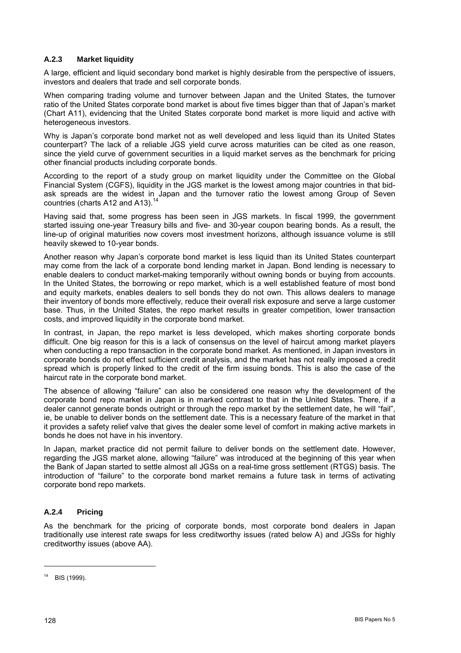### **A.2.3 Market liquidity**

A large, efficient and liquid secondary bond market is highly desirable from the perspective of issuers, investors and dealers that trade and sell corporate bonds.

When comparing trading volume and turnover between Japan and the United States, the turnover ratio of the United States corporate bond market is about five times bigger than that of Japanís market (Chart A11), evidencing that the United States corporate bond market is more liquid and active with heterogeneous investors.

Why is Japanís corporate bond market not as well developed and less liquid than its United States counterpart? The lack of a reliable JGS yield curve across maturities can be cited as one reason, since the yield curve of government securities in a liquid market serves as the benchmark for pricing other financial products including corporate bonds.

According to the report of a study group on market liquidity under the Committee on the Global Financial System (CGFS), liquidity in the JGS market is the lowest among major countries in that bidask spreads are the widest in Japan and the turnover ratio the lowest among Group of Seven countries (charts A12 and A13).<sup>14</sup>

Having said that, some progress has been seen in JGS markets. In fiscal 1999, the government started issuing one-year Treasury bills and five- and 30-year coupon bearing bonds. As a result, the line-up of original maturities now covers most investment horizons, although issuance volume is still heavily skewed to 10-year bonds.

Another reason why Japanís corporate bond market is less liquid than its United States counterpart may come from the lack of a corporate bond lending market in Japan. Bond lending is necessary to enable dealers to conduct market-making temporarily without owning bonds or buying from accounts. In the United States, the borrowing or repo market, which is a well established feature of most bond and equity markets, enables dealers to sell bonds they do not own. This allows dealers to manage their inventory of bonds more effectively, reduce their overall risk exposure and serve a large customer base. Thus, in the United States, the repo market results in greater competition, lower transaction costs, and improved liquidity in the corporate bond market.

In contrast, in Japan, the repo market is less developed, which makes shorting corporate bonds difficult. One big reason for this is a lack of consensus on the level of haircut among market players when conducting a repo transaction in the corporate bond market. As mentioned, in Japan investors in corporate bonds do not effect sufficient credit analysis, and the market has not really imposed a credit spread which is properly linked to the credit of the firm issuing bonds. This is also the case of the haircut rate in the corporate bond market.

The absence of allowing "failure" can also be considered one reason why the development of the corporate bond repo market in Japan is in marked contrast to that in the United States. There, if a dealer cannot generate bonds outright or through the repo market by the settlement date, he will "fail", ie, be unable to deliver bonds on the settlement date. This is a necessary feature of the market in that it provides a safety relief valve that gives the dealer some level of comfort in making active markets in bonds he does not have in his inventory.

In Japan, market practice did not permit failure to deliver bonds on the settlement date. However, regarding the JGS market alone, allowing "failure" was introduced at the beginning of this year when the Bank of Japan started to settle almost all JGSs on a real-time gross settlement (RTGS) basis. The introduction of "failure" to the corporate bond market remains a future task in terms of activating corporate bond repo markets.

### **A.2.4 Pricing**

As the benchmark for the pricing of corporate bonds, most corporate bond dealers in Japan traditionally use interest rate swaps for less creditworthy issues (rated below A) and JGSs for highly creditworthy issues (above AA).

<sup>14</sup> BIS (1999).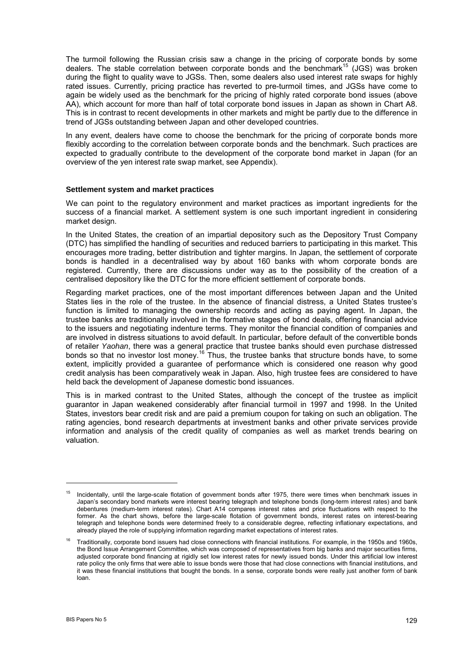The turmoil following the Russian crisis saw a change in the pricing of corporate bonds by some dealers. The stable correlation between corporate bonds and the benchmark<sup>15</sup> (JGS) was broken during the flight to quality wave to JGSs. Then, some dealers also used interest rate swaps for highly rated issues. Currently, pricing practice has reverted to pre-turmoil times, and JGSs have come to again be widely used as the benchmark for the pricing of highly rated corporate bond issues (above AA), which account for more than half of total corporate bond issues in Japan as shown in Chart A8. This is in contrast to recent developments in other markets and might be partly due to the difference in trend of JGSs outstanding between Japan and other developed countries.

In any event, dealers have come to choose the benchmark for the pricing of corporate bonds more flexibly according to the correlation between corporate bonds and the benchmark. Such practices are expected to gradually contribute to the development of the corporate bond market in Japan (for an overview of the yen interest rate swap market, see Appendix).

#### **Settlement system and market practices**

We can point to the regulatory environment and market practices as important ingredients for the success of a financial market. A settlement system is one such important ingredient in considering market design.

In the United States, the creation of an impartial depository such as the Depository Trust Company (DTC) has simplified the handling of securities and reduced barriers to participating in this market. This encourages more trading, better distribution and tighter margins. In Japan, the settlement of corporate bonds is handled in a decentralised way by about 160 banks with whom corporate bonds are registered. Currently, there are discussions under way as to the possibility of the creation of a centralised depository like the DTC for the more efficient settlement of corporate bonds.

Regarding market practices, one of the most important differences between Japan and the United States lies in the role of the trustee. In the absence of financial distress, a United States trustee's function is limited to managing the ownership records and acting as paying agent. In Japan, the trustee banks are traditionally involved in the formative stages of bond deals, offering financial advice to the issuers and negotiating indenture terms. They monitor the financial condition of companies and are involved in distress situations to avoid default. In particular, before default of the convertible bonds of retailer *Yaohan*, there was a general practice that trustee banks should even purchase distressed bonds so that no investor lost money.16 Thus, the trustee banks that structure bonds have, to some extent, implicitly provided a guarantee of performance which is considered one reason why good credit analysis has been comparatively weak in Japan. Also, high trustee fees are considered to have held back the development of Japanese domestic bond issuances.

This is in marked contrast to the United States, although the concept of the trustee as implicit guarantor in Japan weakened considerably after financial turmoil in 1997 and 1998. In the United States, investors bear credit risk and are paid a premium coupon for taking on such an obligation. The rating agencies, bond research departments at investment banks and other private services provide information and analysis of the credit quality of companies as well as market trends bearing on valuation.

<sup>&</sup>lt;sup>15</sup> Incidentally, until the large-scale flotation of government bonds after 1975, there were times when benchmark issues in Japanís secondary bond markets were interest bearing telegraph and telephone bonds (long-term interest rates) and bank debentures (medium-term interest rates). Chart A14 compares interest rates and price fluctuations with respect to the former. As the chart shows, before the large-scale flotation of government bonds, interest rates on interest-bearing telegraph and telephone bonds were determined freely to a considerable degree, reflecting inflationary expectations, and already played the role of supplying information regarding market expectations of interest rates.

<sup>16</sup> Traditionally, corporate bond issuers had close connections with financial institutions. For example, in the 1950s and 1960s, the Bond Issue Arrangement Committee, which was composed of representatives from big banks and major securities firms, adjusted corporate bond financing at rigidly set low interest rates for newly issued bonds. Under this artificial low interest rate policy the only firms that were able to issue bonds were those that had close connections with financial institutions, and it was these financial institutions that bought the bonds. In a sense, corporate bonds were really just another form of bank loan.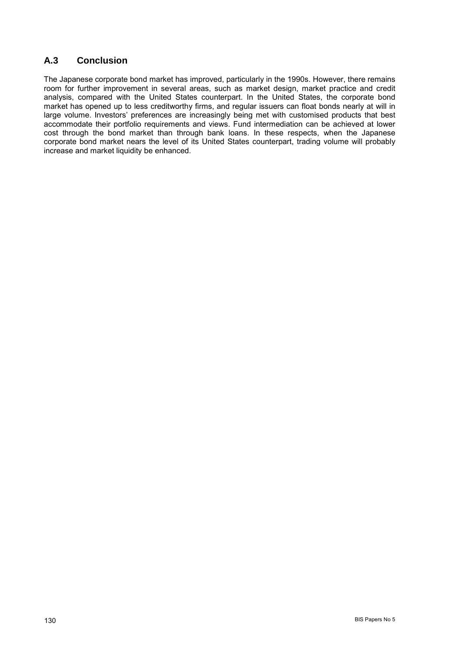# **A.3 Conclusion**

The Japanese corporate bond market has improved, particularly in the 1990s. However, there remains room for further improvement in several areas, such as market design, market practice and credit analysis, compared with the United States counterpart. In the United States, the corporate bond market has opened up to less creditworthy firms, and regular issuers can float bonds nearly at will in large volume. Investorsí preferences are increasingly being met with customised products that best accommodate their portfolio requirements and views. Fund intermediation can be achieved at lower cost through the bond market than through bank loans. In these respects, when the Japanese corporate bond market nears the level of its United States counterpart, trading volume will probably increase and market liquidity be enhanced.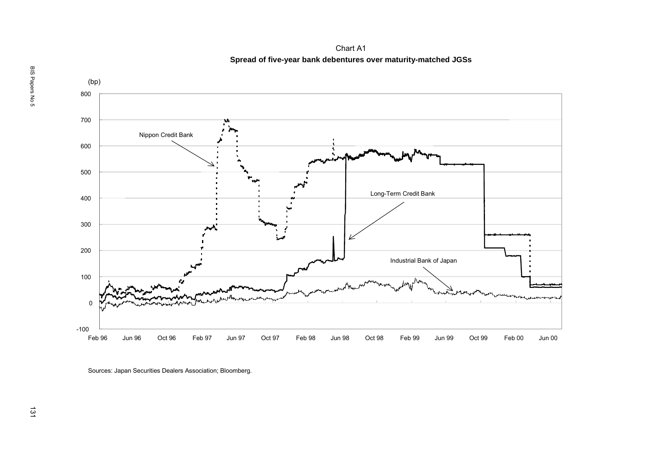Chart A1 **Spread of five-year bank debentures over maturity-matched JGSs**



Sources: Japan Securities Dealers Association; Bloomberg.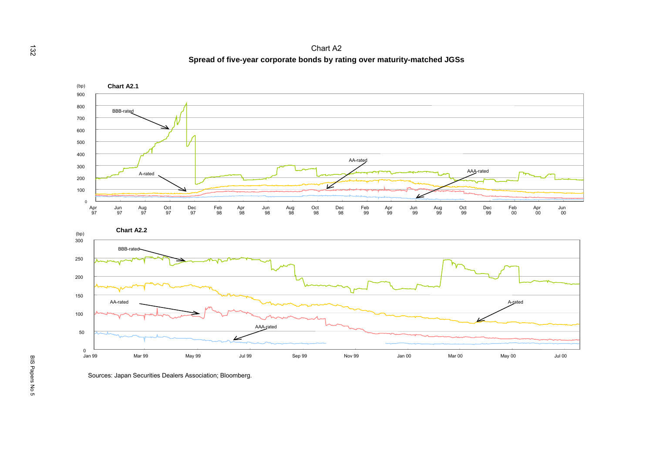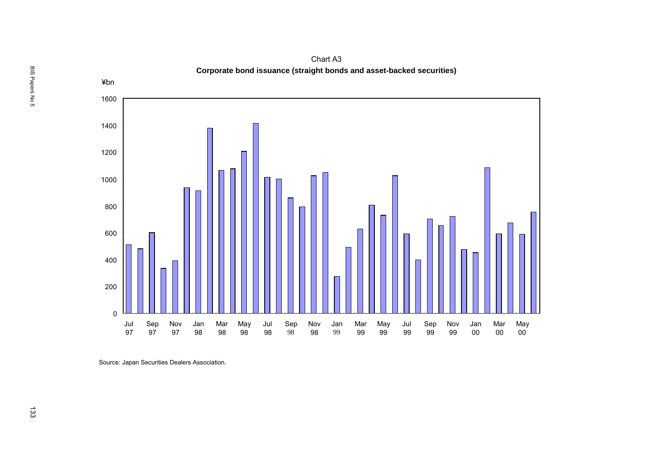

Chart A3 **Corporate bond issuance (straight bonds and asset-backed securities)**

Source: Japan Securities Dealers Association.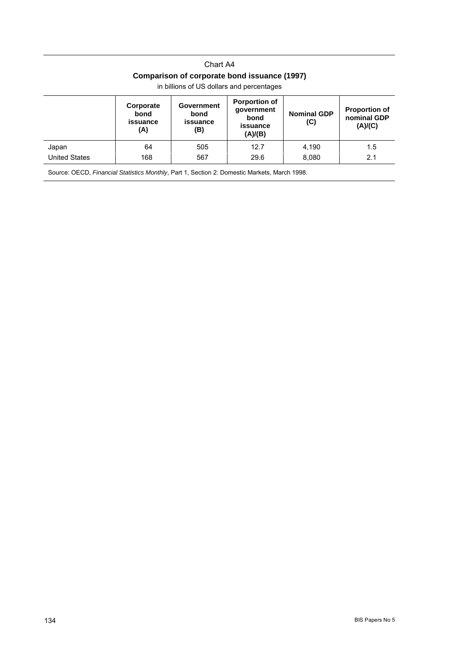## Chart A4 **Comparison of corporate bond issuance (1997)**

|                      | Corporate<br>bond<br>issuance<br>(A) | <b>Government</b><br>bond<br>issuance<br>(B) | <b>Porportion of</b><br>government<br>bond<br>issuance<br>(A)/(B) | <b>Nominal GDP</b><br>(C) | <b>Proportion of</b><br>nominal GDP<br>(A)/(C) |
|----------------------|--------------------------------------|----------------------------------------------|-------------------------------------------------------------------|---------------------------|------------------------------------------------|
| Japan                | 64                                   | 505                                          | 12.7                                                              | 4,190                     | 1.5                                            |
| <b>United States</b> | 168                                  | 567                                          | 29.6                                                              | 8,080                     | 2.1                                            |
|                      |                                      |                                              |                                                                   |                           |                                                |

in billions of US dollars and percentages

Source: OECD, *Financial Statistics Monthly*, Part 1, Section 2: Domestic Markets, March 1998.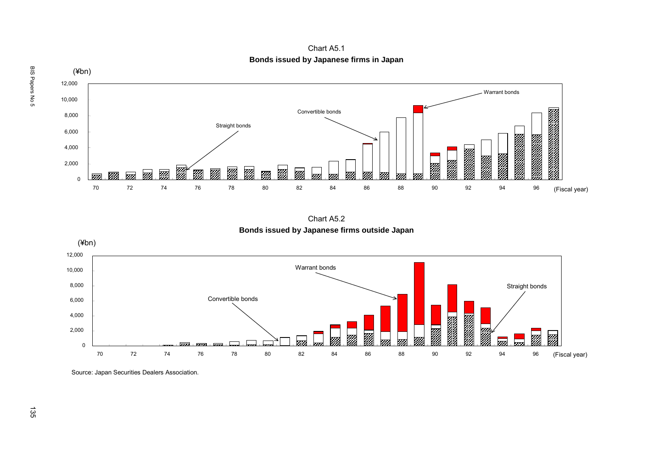$(\nexists$ bn) 12,000 Warrant bonds10,000 Convertible bonds8,000 Straight bonds 6,000 **Service Script Corporation** e de la composición de la composición de la composición de la composición de la composición de la composición<br>La composición de la composición de la composición de la composición de la composición de la composición de la 4,000 en de la composición de la composición de la composición de la composición de la composición de la composició<br>La composición de la composición de la composición de la composición de la composición de la composición de la 2,000 Ø .<br>M m) m m m  $\overline{0}$  (Fiscal year) 70 72 74 76 78 80 82 84 86 88 90 92 94 96

Chart A5.1 **Bonds issued by Japanese firms in Japan**

Chart A5.2 **Bonds issued by Japanese firms outside Japan**



Source: Japan Securities Dealers Association.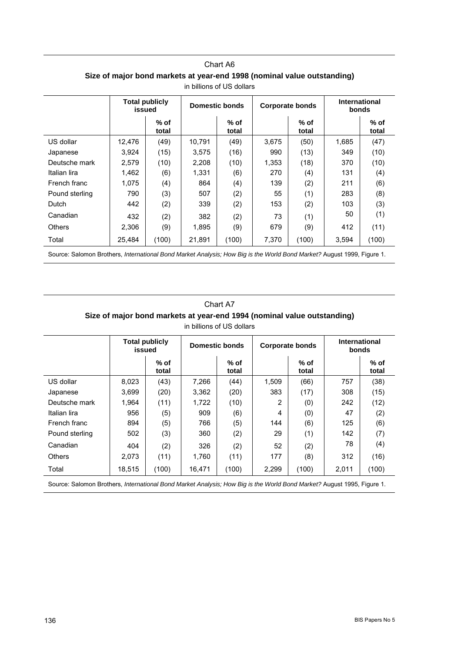|                | <b>Total publicly</b><br>issued |               |        | Domestic bonds  | <b>Corporate bonds</b> |                 | <b>International</b><br><b>bonds</b> |                 |
|----------------|---------------------------------|---------------|--------|-----------------|------------------------|-----------------|--------------------------------------|-----------------|
|                |                                 | % of<br>total |        | $%$ of<br>total |                        | $%$ of<br>total |                                      | $%$ of<br>total |
| US dollar      | 12,476                          | (49)          | 10,791 | (49)            | 3,675                  | (50)            | 1,685                                | (47)            |
| Japanese       | 3.924                           | (15)          | 3,575  | (16)            | 990                    | (13)            | 349                                  | (10)            |
| Deutsche mark  | 2,579                           | (10)          | 2,208  | (10)            | 1,353                  | (18)            | 370                                  | (10)            |
| Italian lira   | 1,462                           | (6)           | 1,331  | (6)             | 270                    | (4)             | 131                                  | (4)             |
| French franc   | 1,075                           | (4)           | 864    | (4)             | 139                    | (2)             | 211                                  | (6)             |
| Pound sterling | 790                             | (3)           | 507    | (2)             | 55                     | (1)             | 283                                  | (8)             |
| Dutch          | 442                             | (2)           | 339    | (2)             | 153                    | (2)             | 103                                  | (3)             |
| Canadian       | 432                             | (2)           | 382    | (2)             | 73                     | (1)             | 50                                   | (1)             |
| <b>Others</b>  | 2,306                           | (9)           | 1,895  | (9)             | 679                    | (9)             | 412                                  | (11)            |
| Total          | 25,484                          | (100)         | 21,891 | (100)           | 7,370                  | (100)           | 3,594                                | (100)           |

| Chart A6                                                                |  |  |  |  |  |  |  |
|-------------------------------------------------------------------------|--|--|--|--|--|--|--|
| Size of major bond markets at year-end 1998 (nominal value outstanding) |  |  |  |  |  |  |  |
| in billions of US dollars                                               |  |  |  |  |  |  |  |

Source: Salomon Brothers, *International Bond Market Analysis; How Big is the World Bond Market?* August 1999, Figure 1.

### Chart A7 **Size of major bond markets at year-end 1994 (nominal value outstanding)** in billions of US dollars

|                | <b>Total publicly</b><br>issued |                 | Domestic bonds |                 | <b>Corporate bonds</b> |                 | <b>International</b><br>bonds |                 |
|----------------|---------------------------------|-----------------|----------------|-----------------|------------------------|-----------------|-------------------------------|-----------------|
|                |                                 | $%$ of<br>total |                | $%$ of<br>total |                        | $%$ of<br>total |                               | $%$ of<br>total |
| US dollar      | 8,023                           | (43)            | 7.266          | (44)            | 1,509                  | (66)            | 757                           | (38)            |
| Japanese       | 3,699                           | (20)            | 3,362          | (20)            | 383                    | (17)            | 308                           | (15)            |
| Deutsche mark  | 1,964                           | (11)            | 1,722          | (10)            | 2                      | (0)             | 242                           | (12)            |
| Italian lira   | 956                             | (5)             | 909            | (6)             | 4                      | (0)             | 47                            | (2)             |
| French franc   | 894                             | (5)             | 766            | (5)             | 144                    | (6)             | 125                           | (6)             |
| Pound sterling | 502                             | (3)             | 360            | (2)             | 29                     | (1)             | 142                           | (7)             |
| Canadian       | 404                             | (2)             | 326            | (2)             | 52                     | (2)             | 78                            | (4)             |
| <b>Others</b>  | 2.073                           | (11)            | 1.760          | (11)            | 177                    | (8)             | 312                           | (16)            |
| Total          | 18,515                          | (100)           | 16,471         | (100)           | 2,299                  | (100)           | 2,011                         | (100)           |

Source: Salomon Brothers, *International Bond Market Analysis; How Big is the World Bond Market?* August 1995, Figure 1.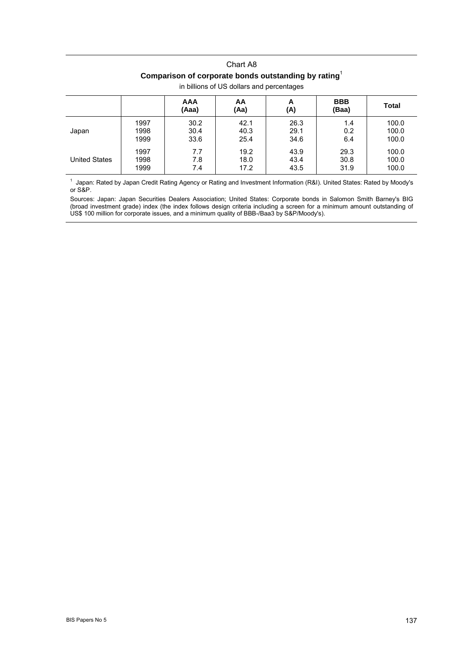# Chart A8 **Comparison of corporate bonds outstanding by rating**<sup>1</sup>

|                      |      | <b>AAA</b><br>(Aaa) | AA<br>(Aa) | A<br>(A) | <b>BBB</b><br>(Baa) | Total |
|----------------------|------|---------------------|------------|----------|---------------------|-------|
| Japan                | 1997 | 30.2                | 42.1       | 26.3     | 1.4                 | 100.0 |
|                      | 1998 | 30.4                | 40.3       | 29.1     | 0.2                 | 100.0 |
|                      | 1999 | 33.6                | 25.4       | 34.6     | 6.4                 | 100.0 |
| <b>United States</b> | 1997 | 7.7                 | 19.2       | 43.9     | 29.3                | 100.0 |
|                      | 1998 | 7.8                 | 18.0       | 43.4     | 30.8                | 100.0 |
|                      | 1999 | 7.4                 | 17.2       | 43.5     | 31.9                | 100.0 |

### in billions of US dollars and percentages

<sup>1</sup> Japan: Rated by Japan Credit Rating Agency or Rating and Investment Information (R&I). United States: Rated by Moody's or S&P.

Sources: Japan: Japan Securities Dealers Association; United States: Corporate bonds in Salomon Smith Barney's BIG (broad investment grade) index (the index follows design criteria including a screen for a minimum amount outstanding of US\$ 100 million for corporate issues, and a minimum quality of BBB-/Baa3 by S&P/Moody's).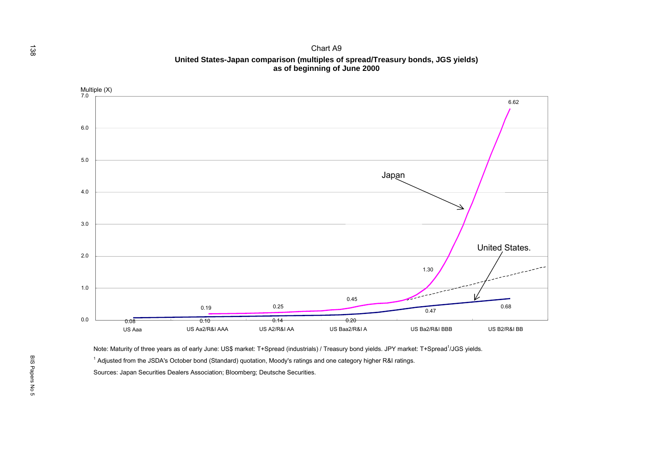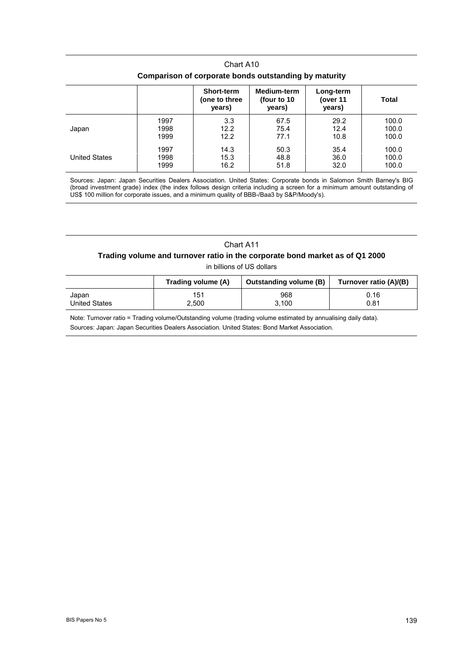| Comparison of corporate bonds outstanding by maturity |      |                                              |                                       |                                 |       |  |  |  |
|-------------------------------------------------------|------|----------------------------------------------|---------------------------------------|---------------------------------|-------|--|--|--|
|                                                       |      | <b>Short-term</b><br>(one to three<br>years) | Medium-term<br>(four to 10)<br>years) | Long-term<br>(over 11<br>years) | Total |  |  |  |
| Japan                                                 | 1997 | 3.3                                          | 67.5                                  | 29.2                            | 100.0 |  |  |  |
|                                                       | 1998 | 12.2                                         | 75.4                                  | 12.4                            | 100.0 |  |  |  |
|                                                       | 1999 | 12.2                                         | 77.1                                  | 10.8                            | 100.0 |  |  |  |
| <b>United States</b>                                  | 1997 | 14.3                                         | 50.3                                  | 35.4                            | 100.0 |  |  |  |
|                                                       | 1998 | 15.3                                         | 48.8                                  | 36.0                            | 100.0 |  |  |  |
|                                                       | 1999 | 16.2                                         | 51.8                                  | 32.0                            | 100.0 |  |  |  |

Chart A10

Sources: Japan: Japan Securities Dealers Association. United States: Corporate bonds in Salomon Smith Barney's BIG (broad investment grade) index (the index follows design criteria including a screen for a minimum amount outstanding of US\$ 100 million for corporate issues, and a minimum quality of BBB-/Baa3 by S&P/Moody's).

#### Chart A11

### **Trading volume and turnover ratio in the corporate bond market as of Q1 2000**

in billions of US dollars

|               | Trading volume (A) | <b>Outstanding volume (B)</b> | Turnover ratio (A)/(B) |
|---------------|--------------------|-------------------------------|------------------------|
| Japan         | 151                | 968                           | 0.16                   |
| United States | 2.500              | 3.100                         | 0.81                   |

Note: Turnover ratio = Trading volume/Outstanding volume (trading volume estimated by annualising daily data). Sources: Japan: Japan Securities Dealers Association. United States: Bond Market Association.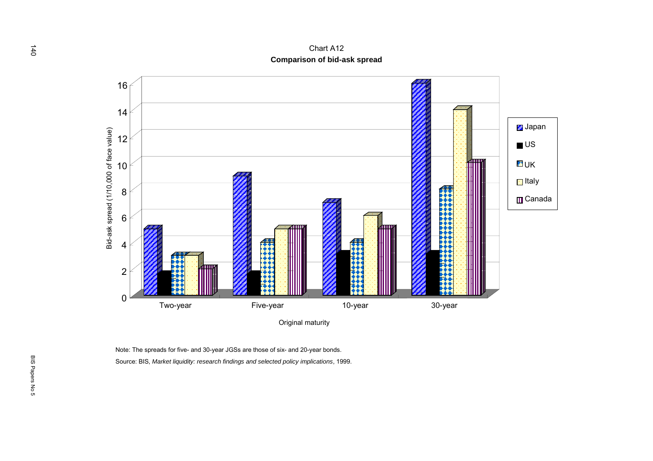

Note: The spreads for five- and 30-year JGSs are those of six- and 20-year bonds. Source: BIS, *Market liquidity: research findings and selected policy implications*, 1999.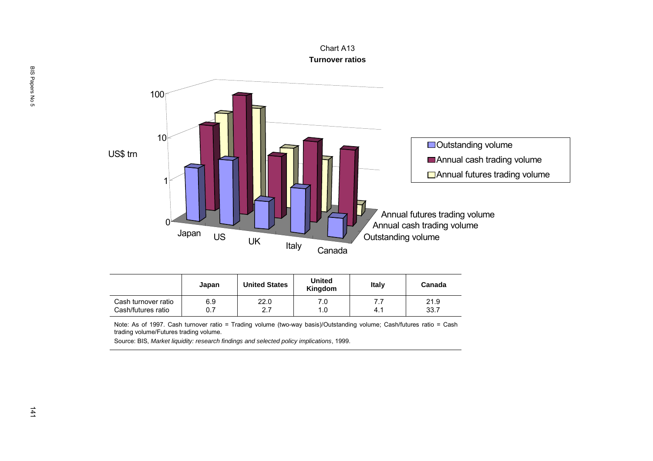

|                     | Japan | <b>United States</b> | United<br>Kingdom | Italy | Canada |
|---------------------|-------|----------------------|-------------------|-------|--------|
| Cash turnover ratio | 6.9   | 22.0                 | 7.0               | 4.1   | 21.9   |
| Cash/futures ratio  | 0.7   | 2.7                  | 1.0               |       | 33.7   |

Note: As of 1997. Cash turnover ratio = Trading volume (two-way basis)/Outstanding volume; Cash/futures ratio = Cash trading volume/Futures trading volume.

Source: BIS, *Market liquidity: research findings and selected policy implications*, 1999.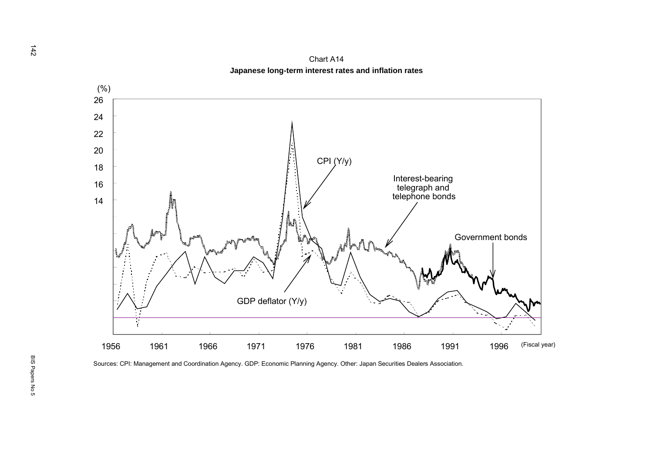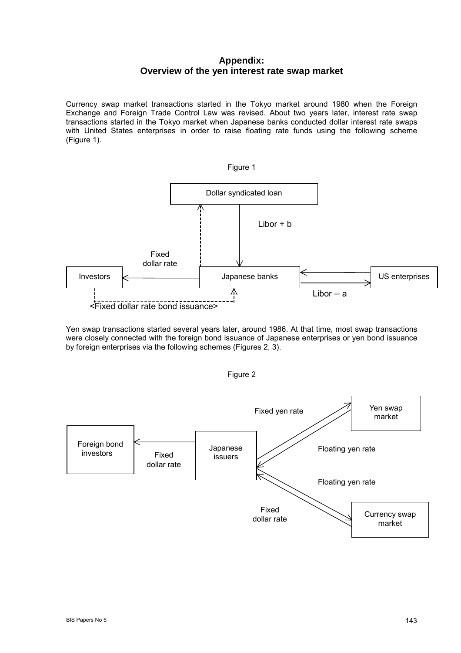## **Appendix: Overview of the yen interest rate swap market**

Currency swap market transactions started in the Tokyo market around 1980 when the Foreign Exchange and Foreign Trade Control Law was revised. About two years later, interest rate swap transactions started in the Tokyo market when Japanese banks conducted dollar interest rate swaps with United States enterprises in order to raise floating rate funds using the following scheme (Figure 1).



Yen swap transactions started several years later, around 1986. At that time, most swap transactions were closely connected with the foreign bond issuance of Japanese enterprises or yen bond issuance by foreign enterprises via the following schemes (Figures 2, 3).



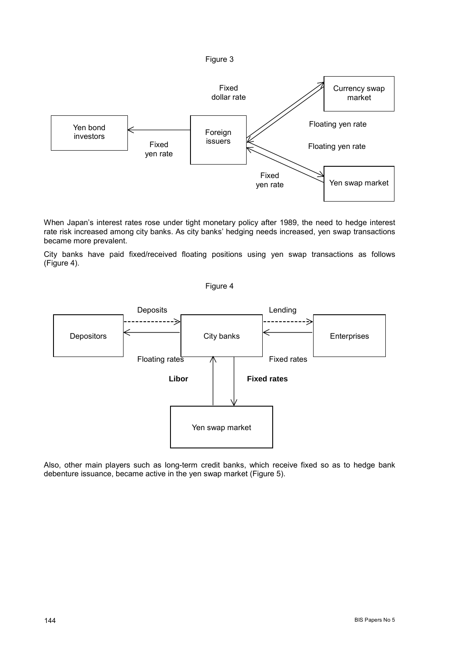

When Japan's interest rates rose under tight monetary policy after 1989, the need to hedge interest rate risk increased among city banks. As city banks' hedging needs increased, yen swap transactions became more prevalent.

City banks have paid fixed/received floating positions using yen swap transactions as follows (Figure 4).

Figure 4



Also, other main players such as long-term credit banks, which receive fixed so as to hedge bank debenture issuance, became active in the yen swap market (Figure 5).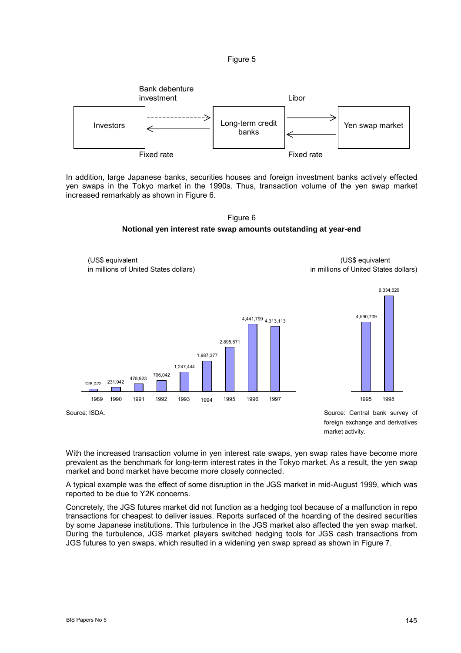



In addition, large Japanese banks, securities houses and foreign investment banks actively effected yen swaps in the Tokyo market in the 1990s. Thus, transaction volume of the yen swap market increased remarkably as shown in Figure 6.





With the increased transaction volume in yen interest rate swaps, yen swap rates have become more prevalent as the benchmark for long-term interest rates in the Tokyo market. As a result, the yen swap market and bond market have become more closely connected.

A typical example was the effect of some disruption in the JGS market in mid-August 1999, which was reported to be due to Y2K concerns.

Concretely, the JGS futures market did not function as a hedging tool because of a malfunction in repo transactions for cheapest to deliver issues. Reports surfaced of the hoarding of the desired securities by some Japanese institutions. This turbulence in the JGS market also affected the yen swap market. During the turbulence, JGS market players switched hedging tools for JGS cash transactions from JGS futures to yen swaps, which resulted in a widening yen swap spread as shown in Figure 7.